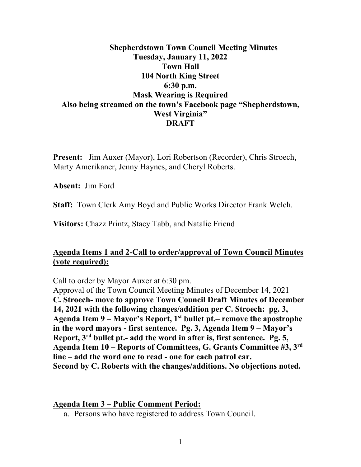## **Shepherdstown Town Council Meeting Minutes Tuesday, January 11, 2022 Town Hall 104 North King Street 6:30 p.m. Mask Wearing is Required Also being streamed on the town's Facebook page "Shepherdstown, West Virginia" DRAFT**

**Present:** Jim Auxer (Mayor), Lori Robertson (Recorder), Chris Stroech, Marty Amerikaner, Jenny Haynes, and Cheryl Roberts.

**Absent:** Jim Ford

**Staff:** Town Clerk Amy Boyd and Public Works Director Frank Welch.

**Visitors:** Chazz Printz, Stacy Tabb, and Natalie Friend

## **Agenda Items 1 and 2-Call to order/approval of Town Council Minutes (vote required):**

Call to order by Mayor Auxer at 6:30 pm.

Approval of the Town Council Meeting Minutes of December 14, 2021 **C. Stroech- move to approve Town Council Draft Minutes of December 14, 2021 with the following changes/addition per C. Stroech: pg. 3, Agenda Item 9 – Mayor's Report, 1st bullet pt.– remove the apostrophe in the word mayors - first sentence. Pg. 3, Agenda Item 9 – Mayor's Report, 3rd bullet pt.- add the word in after is, first sentence. Pg. 5, Agenda Item 10 – Reports of Committees, G. Grants Committee #3, 3rd line – add the word one to read - one for each patrol car. Second by C. Roberts with the changes/additions. No objections noted.**

#### **Agenda Item 3 – Public Comment Period:**

a. Persons who have registered to address Town Council.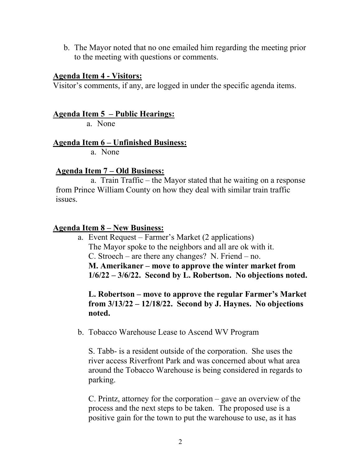b. The Mayor noted that no one emailed him regarding the meeting prior to the meeting with questions or comments.

#### **Agenda Item 4 - Visitors:**

Visitor's comments, if any, are logged in under the specific agenda items.

### **Agenda Item 5 – Public Hearings:**

a. None

### **Agenda Item 6 – Unfinished Business:**

a. None

### **Agenda Item 7 – Old Business:**

 a. Train Traffic – the Mayor stated that he waiting on a response from Prince William County on how they deal with similar train traffic issues.

### **Agenda Item 8 – New Business:**

a. Event Request – Farmer's Market (2 applications) The Mayor spoke to the neighbors and all are ok with it. C. Stroech – are there any changes? N. Friend – no. **M. Amerikaner – move to approve the winter market from 1/6/22 – 3/6/22. Second by L. Robertson. No objections noted.**

**L. Robertson – move to approve the regular Farmer's Market from 3/13/22 – 12/18/22. Second by J. Haynes. No objections noted.**

b. Tobacco Warehouse Lease to Ascend WV Program

S. Tabb- is a resident outside of the corporation. She uses the river access Riverfront Park and was concerned about what area around the Tobacco Warehouse is being considered in regards to parking.

C. Printz, attorney for the corporation – gave an overview of the process and the next steps to be taken. The proposed use is a positive gain for the town to put the warehouse to use, as it has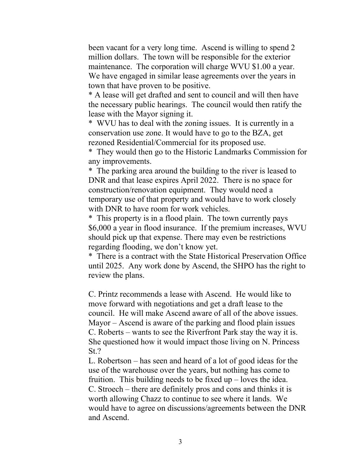been vacant for a very long time. Ascend is willing to spend 2 million dollars. The town will be responsible for the exterior maintenance. The corporation will charge WVU \$1.00 a year. We have engaged in similar lease agreements over the years in town that have proven to be positive.

\* A lease will get drafted and sent to council and will then have the necessary public hearings. The council would then ratify the lease with the Mayor signing it.

\* WVU has to deal with the zoning issues. It is currently in a conservation use zone. It would have to go to the BZA, get rezoned Residential/Commercial for its proposed use.

\* They would then go to the Historic Landmarks Commission for any improvements.

\* The parking area around the building to the river is leased to DNR and that lease expires April 2022. There is no space for construction/renovation equipment. They would need a temporary use of that property and would have to work closely with DNR to have room for work vehicles.

\* This property is in a flood plain. The town currently pays \$6,000 a year in flood insurance. If the premium increases, WVU should pick up that expense. There may even be restrictions regarding flooding, we don't know yet.

\* There is a contract with the State Historical Preservation Office until 2025. Any work done by Ascend, the SHPO has the right to review the plans.

C. Printz recommends a lease with Ascend. He would like to move forward with negotiations and get a draft lease to the council. He will make Ascend aware of all of the above issues. Mayor – Ascend is aware of the parking and flood plain issues C. Roberts – wants to see the Riverfront Park stay the way it is. She questioned how it would impact those living on N. Princess St.?

L. Robertson – has seen and heard of a lot of good ideas for the use of the warehouse over the years, but nothing has come to fruition. This building needs to be fixed  $up$  – loves the idea. C. Stroech – there are definitely pros and cons and thinks it is worth allowing Chazz to continue to see where it lands. We would have to agree on discussions/agreements between the DNR and Ascend.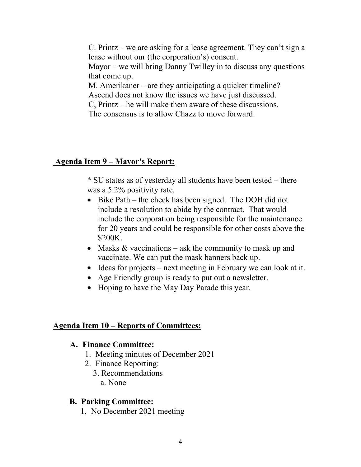C. Printz – we are asking for a lease agreement. They can't sign a lease without our (the corporation's) consent.

Mayor – we will bring Danny Twilley in to discuss any questions that come up.

M. Amerikaner – are they anticipating a quicker timeline?

Ascend does not know the issues we have just discussed.

C, Printz – he will make them aware of these discussions.

The consensus is to allow Chazz to move forward.

### **Agenda Item 9 – Mayor's Report:**

\* SU states as of yesterday all students have been tested – there was a 5.2% positivity rate.

- Bike Path the check has been signed. The DOH did not include a resolution to abide by the contract. That would include the corporation being responsible for the maintenance for 20 years and could be responsible for other costs above the \$200K.
- Masks & vaccinations ask the community to mask up and vaccinate. We can put the mask banners back up.
- Ideas for projects next meeting in February we can look at it.
- Age Friendly group is ready to put out a newsletter.
- Hoping to have the May Day Parade this year.

#### **Agenda Item 10 – Reports of Committees:**

### **A. Finance Committee:**

- 1. Meeting minutes of December 2021
- 2. Finance Reporting:
	- 3. Recommendations a. None

### **B. Parking Committee:**

1. No December 2021 meeting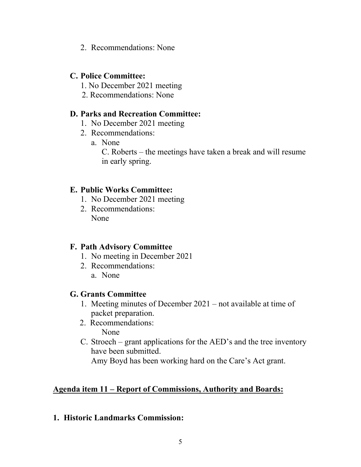2. Recommendations: None

### **C. Police Committee:**

- 1. No December 2021 meeting
- 2. Recommendations: None

### **D. Parks and Recreation Committee:**

- 1. No December 2021 meeting
- 2. Recommendations:
	- a. None

C. Roberts – the meetings have taken a break and will resume in early spring.

### **E. Public Works Committee:**

- 1. No December 2021 meeting
- 2. Recommendations: None

## **F. Path Advisory Committee**

- 1. No meeting in December 2021
- 2. Recommendations:
	- a. None

### **G. Grants Committee**

- 1. Meeting minutes of December 2021 not available at time of packet preparation.
- 2. Recommendations: None
- C. Stroech grant applications for the AED's and the tree inventory have been submitted.

Amy Boyd has been working hard on the Care's Act grant.

## **Agenda item 11 – Report of Commissions, Authority and Boards:**

### **1. Historic Landmarks Commission:**